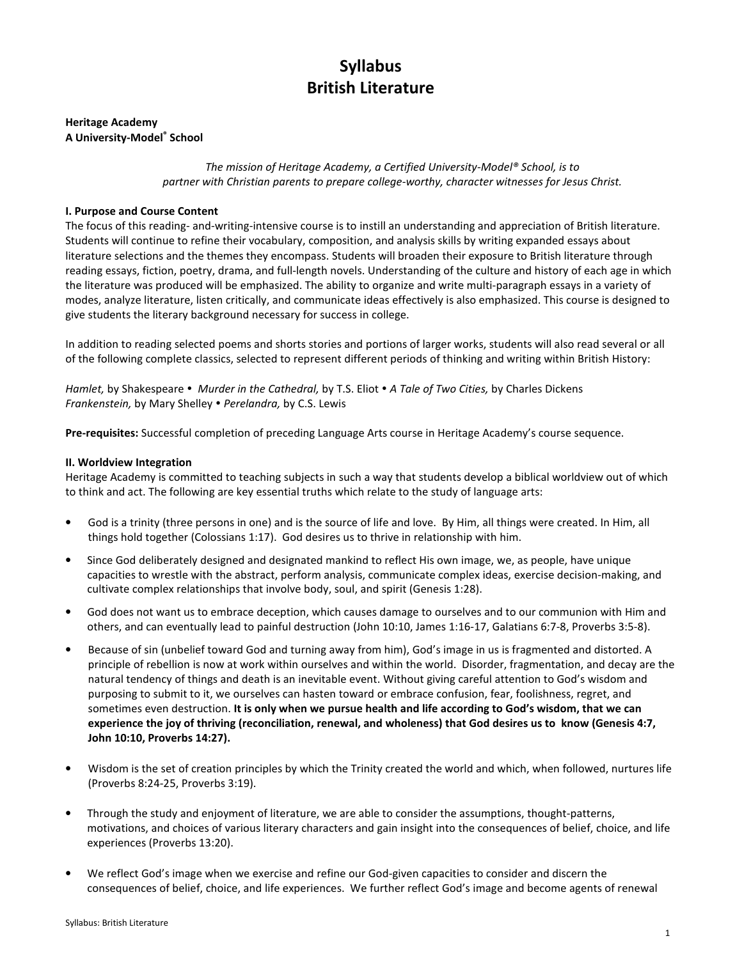# Syllabus British Literature

# Heritage Academy A University-Model® School

The mission of Heritage Academy, a Certified University-Model® School, is to partner with Christian parents to prepare college-worthy, character witnesses for Jesus Christ.

# I. Purpose and Course Content

The focus of this reading- and-writing-intensive course is to instill an understanding and appreciation of British literature. Students will continue to refine their vocabulary, composition, and analysis skills by writing expanded essays about literature selections and the themes they encompass. Students will broaden their exposure to British literature through reading essays, fiction, poetry, drama, and full-length novels. Understanding of the culture and history of each age in which the literature was produced will be emphasized. The ability to organize and write multi-paragraph essays in a variety of modes, analyze literature, listen critically, and communicate ideas effectively is also emphasized. This course is designed to give students the literary background necessary for success in college.

In addition to reading selected poems and shorts stories and portions of larger works, students will also read several or all of the following complete classics, selected to represent different periods of thinking and writing within British History:

Hamlet, by Shakespeare • Murder in the Cathedral, by T.S. Eliot • A Tale of Two Cities, by Charles Dickens Frankenstein, by Mary Shelley . Perelandra, by C.S. Lewis

Pre-requisites: Successful completion of preceding Language Arts course in Heritage Academy's course sequence.

# II. Worldview Integration

Heritage Academy is committed to teaching subjects in such a way that students develop a biblical worldview out of which to think and act. The following are key essential truths which relate to the study of language arts:

- God is a trinity (three persons in one) and is the source of life and love. By Him, all things were created. In Him, all things hold together (Colossians 1:17). God desires us to thrive in relationship with him.
- Since God deliberately designed and designated mankind to reflect His own image, we, as people, have unique capacities to wrestle with the abstract, perform analysis, communicate complex ideas, exercise decision-making, and cultivate complex relationships that involve body, soul, and spirit (Genesis 1:28).
- God does not want us to embrace deception, which causes damage to ourselves and to our communion with Him and others, and can eventually lead to painful destruction (John 10:10, James 1:16-17, Galatians 6:7-8, Proverbs 3:5-8).
- Because of sin (unbelief toward God and turning away from him), God's image in us is fragmented and distorted. A principle of rebellion is now at work within ourselves and within the world. Disorder, fragmentation, and decay are the natural tendency of things and death is an inevitable event. Without giving careful attention to God's wisdom and purposing to submit to it, we ourselves can hasten toward or embrace confusion, fear, foolishness, regret, and sometimes even destruction. It is only when we pursue health and life according to God's wisdom, that we can experience the joy of thriving (reconciliation, renewal, and wholeness) that God desires us to know (Genesis 4:7, John 10:10, Proverbs 14:27).
- Wisdom is the set of creation principles by which the Trinity created the world and which, when followed, nurtures life (Proverbs 8:24-25, Proverbs 3:19).
- Through the study and enjoyment of literature, we are able to consider the assumptions, thought-patterns, motivations, and choices of various literary characters and gain insight into the consequences of belief, choice, and life experiences (Proverbs 13:20).
- We reflect God's image when we exercise and refine our God-given capacities to consider and discern the consequences of belief, choice, and life experiences. We further reflect God's image and become agents of renewal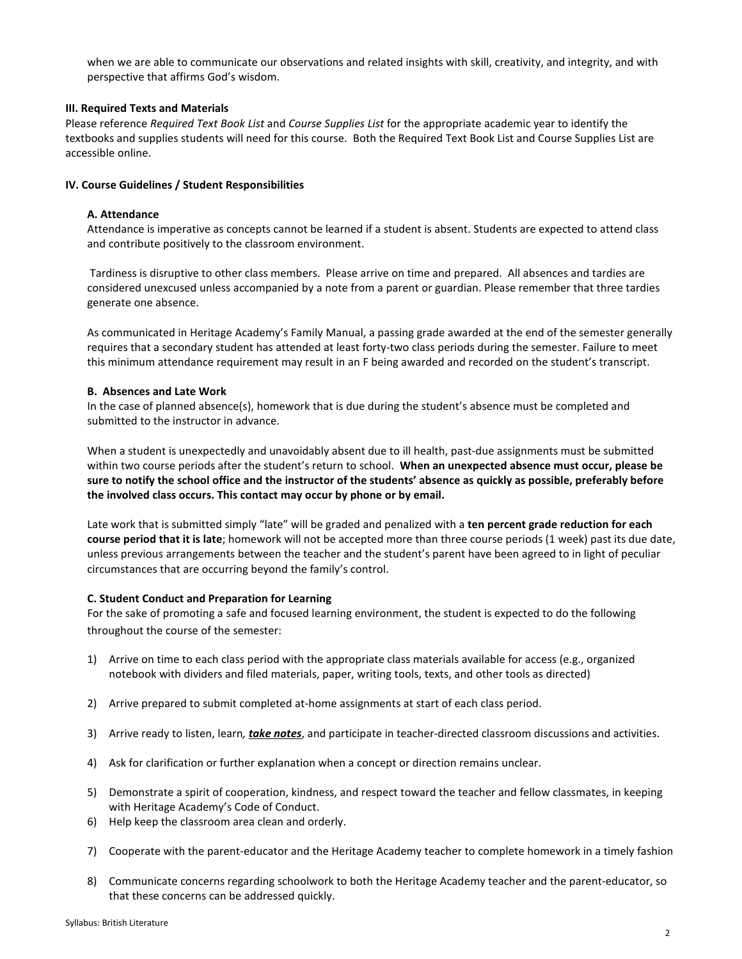when we are able to communicate our observations and related insights with skill, creativity, and integrity, and with perspective that affirms God's wisdom.

## III. Required Texts and Materials

Please reference Required Text Book List and Course Supplies List for the appropriate academic year to identify the textbooks and supplies students will need for this course. Both the Required Text Book List and Course Supplies List are accessible online.

# IV. Course Guidelines / Student Responsibilities

# A. Attendance

Attendance is imperative as concepts cannot be learned if a student is absent. Students are expected to attend class and contribute positively to the classroom environment.

 Tardiness is disruptive to other class members. Please arrive on time and prepared. All absences and tardies are considered unexcused unless accompanied by a note from a parent or guardian. Please remember that three tardies generate one absence.

As communicated in Heritage Academy's Family Manual, a passing grade awarded at the end of the semester generally requires that a secondary student has attended at least forty-two class periods during the semester. Failure to meet this minimum attendance requirement may result in an F being awarded and recorded on the student's transcript.

# B. Absences and Late Work

In the case of planned absence(s), homework that is due during the student's absence must be completed and submitted to the instructor in advance.

When a student is unexpectedly and unavoidably absent due to ill health, past-due assignments must be submitted within two course periods after the student's return to school. When an unexpected absence must occur, please be sure to notify the school office and the instructor of the students' absence as quickly as possible, preferably before the involved class occurs. This contact may occur by phone or by email.

Late work that is submitted simply "late" will be graded and penalized with a ten percent grade reduction for each course period that it is late; homework will not be accepted more than three course periods (1 week) past its due date, unless previous arrangements between the teacher and the student's parent have been agreed to in light of peculiar circumstances that are occurring beyond the family's control.

# C. Student Conduct and Preparation for Learning

For the sake of promoting a safe and focused learning environment, the student is expected to do the following throughout the course of the semester:

- 1) Arrive on time to each class period with the appropriate class materials available for access (e.g., organized notebook with dividers and filed materials, paper, writing tools, texts, and other tools as directed)
- 2) Arrive prepared to submit completed at-home assignments at start of each class period.
- 3) Arrive ready to listen, learn, *take notes*, and participate in teacher-directed classroom discussions and activities.
- 4) Ask for clarification or further explanation when a concept or direction remains unclear.
- 5) Demonstrate a spirit of cooperation, kindness, and respect toward the teacher and fellow classmates, in keeping with Heritage Academy's Code of Conduct.
- 6) Help keep the classroom area clean and orderly.
- 7) Cooperate with the parent-educator and the Heritage Academy teacher to complete homework in a timely fashion
- 8) Communicate concerns regarding schoolwork to both the Heritage Academy teacher and the parent-educator, so that these concerns can be addressed quickly.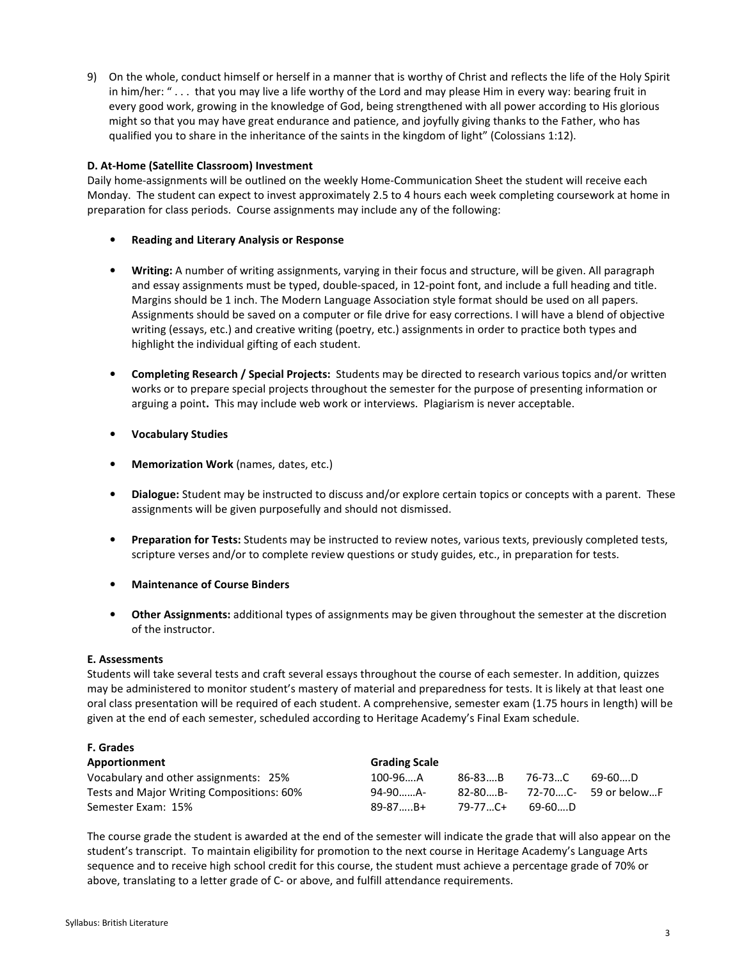9) On the whole, conduct himself or herself in a manner that is worthy of Christ and reflects the life of the Holy Spirit in him/her: " . . . that you may live a life worthy of the Lord and may please Him in every way: bearing fruit in every good work, growing in the knowledge of God, being strengthened with all power according to His glorious might so that you may have great endurance and patience, and joyfully giving thanks to the Father, who has qualified you to share in the inheritance of the saints in the kingdom of light" (Colossians 1:12).

# D. At-Home (Satellite Classroom) Investment

Daily home-assignments will be outlined on the weekly Home-Communication Sheet the student will receive each Monday. The student can expect to invest approximately 2.5 to 4 hours each week completing coursework at home in preparation for class periods. Course assignments may include any of the following:

- Reading and Literary Analysis or Response
- Writing: A number of writing assignments, varying in their focus and structure, will be given. All paragraph and essay assignments must be typed, double-spaced, in 12-point font, and include a full heading and title. Margins should be 1 inch. The Modern Language Association style format should be used on all papers. Assignments should be saved on a computer or file drive for easy corrections. I will have a blend of objective writing (essays, etc.) and creative writing (poetry, etc.) assignments in order to practice both types and highlight the individual gifting of each student.
- Completing Research / Special Projects: Students may be directed to research various topics and/or written works or to prepare special projects throughout the semester for the purpose of presenting information or arguing a point. This may include web work or interviews. Plagiarism is never acceptable.
- Vocabulary Studies
- Memorization Work (names, dates, etc.)
- Dialogue: Student may be instructed to discuss and/or explore certain topics or concepts with a parent. These assignments will be given purposefully and should not dismissed.
- Preparation for Tests: Students may be instructed to review notes, various texts, previously completed tests, scripture verses and/or to complete review questions or study guides, etc., in preparation for tests.
- Maintenance of Course Binders
- Other Assignments: additional types of assignments may be given throughout the semester at the discretion of the instructor.

## E. Assessments

Students will take several tests and craft several essays throughout the course of each semester. In addition, quizzes may be administered to monitor student's mastery of material and preparedness for tests. It is likely at that least one oral class presentation will be required of each student. A comprehensive, semester exam (1.75 hours in length) will be given at the end of each semester, scheduled according to Heritage Academy's Final Exam schedule.

## F. Grades

| Apportionment                             | <b>Grading Scale</b> |          |        |                      |
|-------------------------------------------|----------------------|----------|--------|----------------------|
| Vocabulary and other assignments: 25%     | 100-96A              | 86-83B   | 76-73C | 69-60D               |
| Tests and Major Writing Compositions: 60% | 94-90A-              | 82-80B-  |        | 72-70C- 59 or belowF |
| Semester Exam: 15%                        | $89 - 87$ B+         | 79-77…C+ | 69-60D |                      |

The course grade the student is awarded at the end of the semester will indicate the grade that will also appear on the student's transcript. To maintain eligibility for promotion to the next course in Heritage Academy's Language Arts sequence and to receive high school credit for this course, the student must achieve a percentage grade of 70% or above, translating to a letter grade of C- or above, and fulfill attendance requirements.